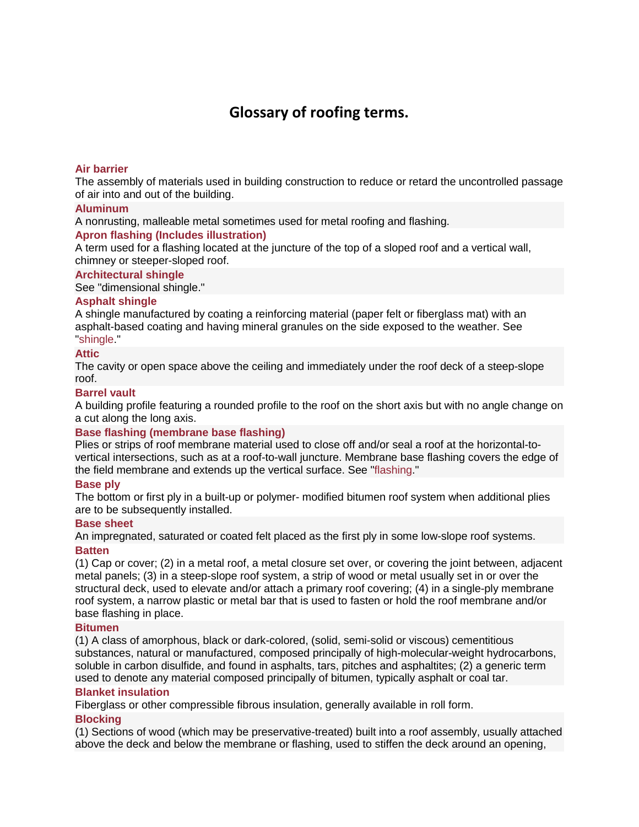# **Glossary of roofing terms.**

# **[Air barrier](http://www.everybodyneedsaroof.com/Glossary/Details/20/Air-barrier)**

The assembly of materials used in building construction to reduce or retard the uncontrolled passage of air into and out of the building.

# **[Aluminum](http://www.everybodyneedsaroof.com/Glossary/Details/29/Aluminum)**

A nonrusting, malleable metal sometimes used for metal roofing and flashing.

# **[Apron flashing \(Includes illustration\)](http://www.everybodyneedsaroof.com/Glossary/Details/39/Apron-flashing-Includes-illustration)**

A term used for a flashing located at the juncture of the top of a sloped roof and a vertical wall, chimney or steeper-sloped roof.

# **[Architectural shingle](http://www.everybodyneedsaroof.com/Glossary/Details/43/Architectural-shingle)**

See "dimensional shingle."

# **[Asphalt shingle](http://www.everybodyneedsaroof.com/Glossary/Details/56/Asphalt-shingle)**

A shingle manufactured by coating a reinforcing material (paper felt or fiberglass mat) with an asphalt-based coating and having mineral granules on the side exposed to the weather. See ["shingle.](http://www.nrca.net/Technical/Search/GlossaryDetails/606)"

# **[Attic](http://www.everybodyneedsaroof.com/Glossary/Details/59/Attic)**

The cavity or open space above the ceiling and immediately under the roof deck of a steep-slope roof.

#### **[Barrel vault](http://www.everybodyneedsaroof.com/Glossary/Details/66/Barrel-vault)**

A building profile featuring a rounded profile to the roof on the short axis but with no angle change on a cut along the long axis.

#### **[Base flashing \(membrane base flashing\)](http://www.everybodyneedsaroof.com/Glossary/Details/68/Base-flashing-membrane-base-flashing)**

Plies or strips of roof membrane material used to close off and/or seal a roof at the horizontal-tovertical intersections, such as at a roof-to-wall juncture. Membrane base flashing covers the edge of the field membrane and extends up the vertical surface. See ["flashing.](http://www.nrca.net/Technical/Search/GlossaryDetails/303)"

#### **[Base ply](http://www.everybodyneedsaroof.com/Glossary/Details/69/Base-ply)**

The bottom or first ply in a built-up or polymer- modified bitumen roof system when additional plies are to be subsequently installed.

#### **[Base sheet](http://www.everybodyneedsaroof.com/Glossary/Details/70/Base-sheet)**

An impregnated, saturated or coated felt placed as the first ply in some low-slope roof systems. **[Batten](http://www.everybodyneedsaroof.com/Glossary/Details/72/Batten)**

(1) Cap or cover; (2) in a metal roof, a metal closure set over, or covering the joint between, adjacent metal panels; (3) in a steep-slope roof system, a strip of wood or metal usually set in or over the structural deck, used to elevate and/or attach a primary roof covering; (4) in a single-ply membrane roof system, a narrow plastic or metal bar that is used to fasten or hold the roof membrane and/or base flashing in place.

#### **[Bitumen](http://www.everybodyneedsaroof.com/Glossary/Details/79/Bitumen)**

(1) A class of amorphous, black or dark-colored, (solid, semi-solid or viscous) cementitious substances, natural or manufactured, composed principally of high-molecular-weight hydrocarbons, soluble in carbon disulfide, and found in asphalts, tars, pitches and asphaltites; (2) a generic term used to denote any material composed principally of bitumen, typically asphalt or coal tar.

### **[Blanket insulation](http://www.everybodyneedsaroof.com/Glossary/Details/84/Blanket-insulation)**

Fiberglass or other compressible fibrous insulation, generally available in roll form.

# **[Blocking](http://www.everybodyneedsaroof.com/Glossary/Details/87/Blocking)**

(1) Sections of wood (which may be preservative-treated) built into a roof assembly, usually attached above the deck and below the membrane or flashing, used to stiffen the deck around an opening,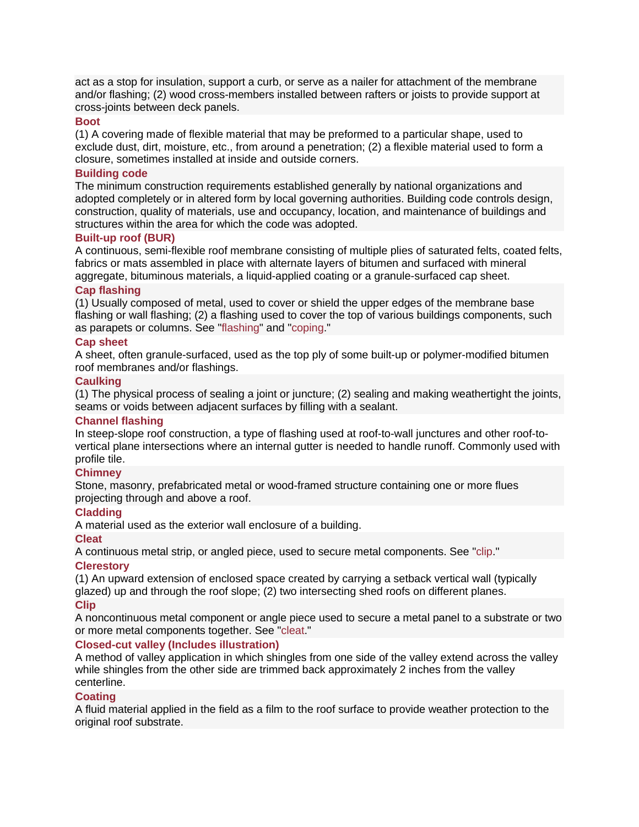act as a stop for insulation, support a curb, or serve as a nailer for attachment of the membrane and/or flashing; (2) wood cross-members installed between rafters or joists to provide support at cross-joints between deck panels.

### **[Boot](http://www.everybodyneedsaroof.com/Glossary/Details/91/Boot)**

(1) A covering made of flexible material that may be preformed to a particular shape, used to exclude dust, dirt, moisture, etc., from around a penetration; (2) a flexible material used to form a closure, sometimes installed at inside and outside corners.

# **[Building code](http://www.everybodyneedsaroof.com/Glossary/Details/100/Building-code)**

The minimum construction requirements established generally by national organizations and adopted completely or in altered form by local governing authorities. Building code controls design, construction, quality of materials, use and occupancy, location, and maintenance of buildings and structures within the area for which the code was adopted.

# **[Built-up roof \(BUR\)](http://www.everybodyneedsaroof.com/Glossary/Details/102/Built-up-roof-BUR)**

A continuous, semi-flexible roof membrane consisting of multiple plies of saturated felts, coated felts, fabrics or mats assembled in place with alternate layers of bitumen and surfaced with mineral aggregate, bituminous materials, a liquid-applied coating or a granule-surfaced cap sheet.

# **[Cap flashing](http://www.everybodyneedsaroof.com/Glossary/Details/111/Cap-flashing)**

(1) Usually composed of metal, used to cover or shield the upper edges of the membrane base flashing or wall flashing; (2) a flashing used to cover the top of various buildings components, such as parapets or columns. See ["flashing"](http://www.nrca.net/Technical/Search/GlossaryDetails/303) and ["coping.](http://www.nrca.net/Technical/Search/GlossaryDetails/175)"

# **[Cap sheet](http://www.everybodyneedsaroof.com/Glossary/Details/112/Cap-sheet)**

A sheet, often granule-surfaced, used as the top ply of some built-up or polymer-modified bitumen roof membranes and/or flashings.

# **[Caulking](http://www.everybodyneedsaroof.com/Glossary/Details/116/Caulking)**

(1) The physical process of sealing a joint or juncture; (2) sealing and making weathertight the joints, seams or voids between adjacent surfaces by filling with a sealant.

#### **[Channel flashing](http://www.everybodyneedsaroof.com/Glossary/Details/128/Channel-flashing)**

In steep-slope roof construction, a type of flashing used at roof-to-wall junctures and other roof-tovertical plane intersections where an internal gutter is needed to handle runoff. Commonly used with profile tile.

# **[Chimney](http://www.everybodyneedsaroof.com/Glossary/Details/131/Chimney)**

Stone, masonry, prefabricated metal or wood-framed structure containing one or more flues projecting through and above a roof.

# **[Cladding](http://www.everybodyneedsaroof.com/Glossary/Details/135/Cladding)**

A material used as the exterior wall enclosure of a building.

#### **[Cleat](http://www.everybodyneedsaroof.com/Glossary/Details/136/Cleat)**

A continuous metal strip, or angled piece, used to secure metal components. See ["clip.](http://www.nrca.net/Technical/Search/GlossaryDetails/138)"

#### **[Clerestory](http://www.everybodyneedsaroof.com/Glossary/Details/137/Clerestory)**

(1) An upward extension of enclosed space created by carrying a setback vertical wall (typically glazed) up and through the roof slope; (2) two intersecting shed roofs on different planes. **[Clip](http://www.everybodyneedsaroof.com/Glossary/Details/138/Clip)**

# A noncontinuous metal component or angle piece used to secure a metal panel to a substrate or two or more metal components together. See ["cleat.](http://www.nrca.net/Technical/Search/GlossaryDetails/136)"

### **[Closed-cut valley \(Includes illustration\)](http://www.everybodyneedsaroof.com/Glossary/Details/139/Closed-cut-valley-Includes-illustration)**

A method of valley application in which shingles from one side of the valley extend across the valley while shingles from the other side are trimmed back approximately 2 inches from the valley centerline.

#### **[Coating](http://www.everybodyneedsaroof.com/Glossary/Details/143/Coating)**

A fluid material applied in the field as a film to the roof surface to provide weather protection to the original roof substrate.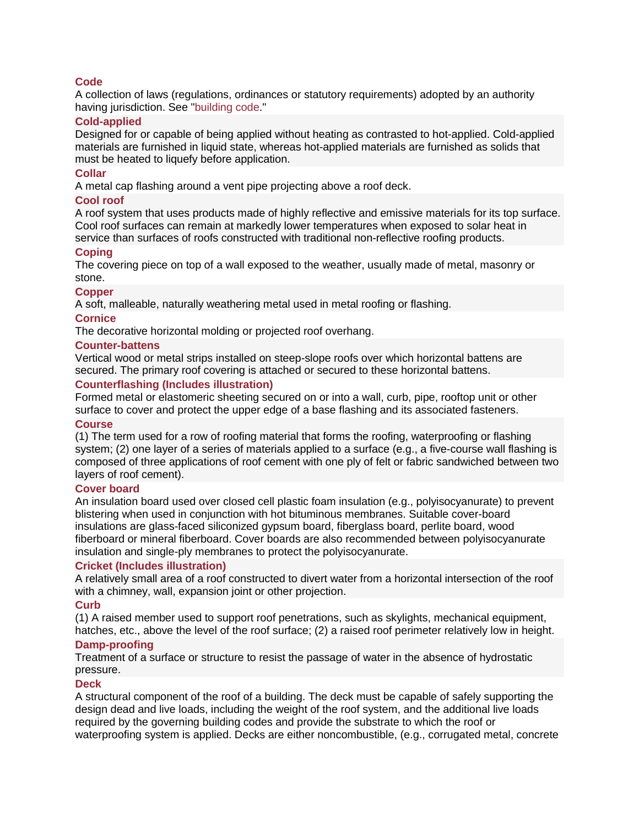# **[Code](http://www.everybodyneedsaroof.com/Glossary/Details/144/Code)**

A collection of laws (regulations, ordinances or statutory requirements) adopted by an authority having jurisdiction. See ["building code.](http://www.nrca.net/Technical/Search/GlossaryDetails/100)"

# **[Cold-applied](http://www.everybodyneedsaroof.com/Glossary/Details/147/Cold-applied)**

Designed for or capable of being applied without heating as contrasted to hot-applied. Cold-applied materials are furnished in liquid state, whereas hot-applied materials are furnished as solids that must be heated to liquefy before application.

# **[Collar](http://www.everybodyneedsaroof.com/Glossary/Details/150/Collar)**

A metal cap flashing around a vent pipe projecting above a roof deck.

# **[Cool roof](http://www.everybodyneedsaroof.com/Glossary/Details/174/Cool-roof)**

A roof system that uses products made of highly reflective and emissive materials for its top surface. Cool roof surfaces can remain at markedly lower temperatures when exposed to solar heat in service than surfaces of roofs constructed with traditional non-reflective roofing products.

# **[Coping](http://www.everybodyneedsaroof.com/Glossary/Details/175/Coping)**

The covering piece on top of a wall exposed to the weather, usually made of metal, masonry or stone.

# **[Copper](http://www.everybodyneedsaroof.com/Glossary/Details/176/Copper)**

A soft, malleable, naturally weathering metal used in metal roofing or flashing.

# **[Cornice](http://www.everybodyneedsaroof.com/Glossary/Details/177/Cornice)**

The decorative horizontal molding or projected roof overhang.

#### **[Counter-battens](http://www.everybodyneedsaroof.com/Glossary/Details/178/Counter-battens)**

Vertical wood or metal strips installed on steep-slope roofs over which horizontal battens are secured. The primary roof covering is attached or secured to these horizontal battens.

# **[Counterflashing \(Includes illustration\)](http://www.everybodyneedsaroof.com/Glossary/Details/179/Counterflashing-Includes-illustration)**

Formed metal or elastomeric sheeting secured on or into a wall, curb, pipe, rooftop unit or other surface to cover and protect the upper edge of a base flashing and its associated fasteners.

#### **[Course](http://www.everybodyneedsaroof.com/Glossary/Details/180/Course)**

(1) The term used for a row of roofing material that forms the roofing, waterproofing or flashing system; (2) one layer of a series of materials applied to a surface (e.g., a five-course wall flashing is composed of three applications of roof cement with one ply of felt or fabric sandwiched between two layers of roof cement).

### **[Cover board](http://www.everybodyneedsaroof.com/Glossary/Details/182/Cover-board)**

An insulation board used over closed cell plastic foam insulation (e.g., polyisocyanurate) to prevent blistering when used in conjunction with hot bituminous membranes. Suitable cover-board insulations are glass-faced siliconized gypsum board, fiberglass board, perlite board, wood fiberboard or mineral fiberboard. Cover boards are also recommended between polyisocyanurate insulation and single-ply membranes to protect the polyisocyanurate.

# **[Cricket \(Includes illustration\)](http://www.everybodyneedsaroof.com/Glossary/Details/190/Cricket-Includes-illustration)**

A relatively small area of a roof constructed to divert water from a horizontal intersection of the roof with a chimney, wall, expansion joint or other projection.

#### **[Curb](http://www.everybodyneedsaroof.com/Glossary/Details/196/Curb)**

(1) A raised member used to support roof penetrations, such as skylights, mechanical equipment, hatches, etc., above the level of the roof surface; (2) a raised roof perimeter relatively low in height.

#### **[Damp-proofing](http://www.everybodyneedsaroof.com/Glossary/Details/205/Damp-proofing)**

Treatment of a surface or structure to resist the passage of water in the absence of hydrostatic pressure.

#### **[Deck](http://www.everybodyneedsaroof.com/Glossary/Details/209/Deck)**

A structural component of the roof of a building. The deck must be capable of safely supporting the design dead and live loads, including the weight of the roof system, and the additional live loads required by the governing building codes and provide the substrate to which the roof or waterproofing system is applied. Decks are either noncombustible, (e.g., corrugated metal, concrete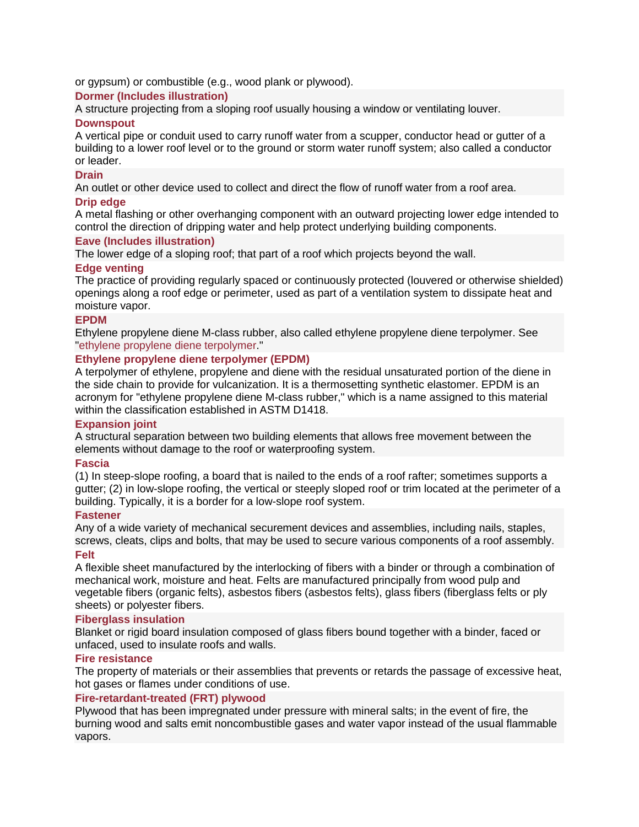or gypsum) or combustible (e.g., wood plank or plywood).

# **[Dormer \(Includes illustration\)](http://www.everybodyneedsaroof.com/Glossary/Details/221/Dormer-Includes-illustration)**

A structure projecting from a sloping roof usually housing a window or ventilating louver.

# **[Downspout](http://www.everybodyneedsaroof.com/Glossary/Details/225/Downspout)**

A vertical pipe or conduit used to carry runoff water from a scupper, conductor head or gutter of a building to a lower roof level or to the ground or storm water runoff system; also called a conductor or leader.

# **[Drain](http://www.everybodyneedsaroof.com/Glossary/Details/227/Drain)**

An outlet or other device used to collect and direct the flow of runoff water from a roof area.

# **[Drip edge](http://www.everybodyneedsaroof.com/Glossary/Details/230/Drip-edge)**

A metal flashing or other overhanging component with an outward projecting lower edge intended to control the direction of dripping water and help protect underlying building components.

# **[Eave \(Includes illustration\)](http://www.everybodyneedsaroof.com/Glossary/Details/238/Eave-Includes-illustration)**

The lower edge of a sloping roof; that part of a roof which projects beyond the wall.

# **[Edge venting](http://www.everybodyneedsaroof.com/Glossary/Details/240/Edge-venting)**

The practice of providing regularly spaced or continuously protected (louvered or otherwise shielded) openings along a roof edge or perimeter, used as part of a ventilation system to dissipate heat and moisture vapor.

#### **[EPDM](http://www.everybodyneedsaroof.com/Glossary/Details/256/EPDM)**

Ethylene propylene diene M-class rubber, also called ethylene propylene diene terpolymer. See ["ethylene propylene diene terpolymer.](http://www.nrca.net/Technical/Search/GlossaryDetails/266)"

# **[Ethylene propylene diene terpolymer \(EPDM\)](http://www.everybodyneedsaroof.com/Glossary/Details/266/Ethylene-propylene-diene-terpolymer-EPDM)**

A terpolymer of ethylene, propylene and diene with the residual unsaturated portion of the diene in the side chain to provide for vulcanization. It is a thermosetting synthetic elastomer. EPDM is an acronym for "ethylene propylene diene M-class rubber," which is a name assigned to this material within the classification established in ASTM D1418.

# **[Expansion joint](http://www.everybodyneedsaroof.com/Glossary/Details/270/Expansion-joint)**

A structural separation between two building elements that allows free movement between the elements without damage to the roof or waterproofing system.

#### **[Fascia](http://www.everybodyneedsaroof.com/Glossary/Details/279/Fascia)**

(1) In steep-slope roofing, a board that is nailed to the ends of a roof rafter; sometimes supports a gutter; (2) in low-slope roofing, the vertical or steeply sloped roof or trim located at the perimeter of a building. Typically, it is a border for a low-slope roof system.

#### **[Fastener](http://www.everybodyneedsaroof.com/Glossary/Details/280/Fastener)**

Any of a wide variety of mechanical securement devices and assemblies, including nails, staples, screws, cleats, clips and bolts, that may be used to secure various components of a roof assembly. **[Felt](http://www.everybodyneedsaroof.com/Glossary/Details/281/Felt)**

A flexible sheet manufactured by the interlocking of fibers with a binder or through a combination of mechanical work, moisture and heat. Felts are manufactured principally from wood pulp and vegetable fibers (organic felts), asbestos fibers (asbestos felts), glass fibers (fiberglass felts or ply sheets) or polyester fibers.

### **[Fiberglass insulation](http://www.everybodyneedsaroof.com/Glossary/Details/284/Fiberglass-insulation)**

Blanket or rigid board insulation composed of glass fibers bound together with a binder, faced or unfaced, used to insulate roofs and walls.

#### **[Fire resistance](http://www.everybodyneedsaroof.com/Glossary/Details/295/Fire-resistance)**

The property of materials or their assemblies that prevents or retards the passage of excessive heat, hot gases or flames under conditions of use.

# **[Fire-retardant-treated \(FRT\) plywood](http://www.everybodyneedsaroof.com/Glossary/Details/296/Fire-retardant-treated-FRT-plywood)**

Plywood that has been impregnated under pressure with mineral salts; in the event of fire, the burning wood and salts emit noncombustible gases and water vapor instead of the usual flammable vapors.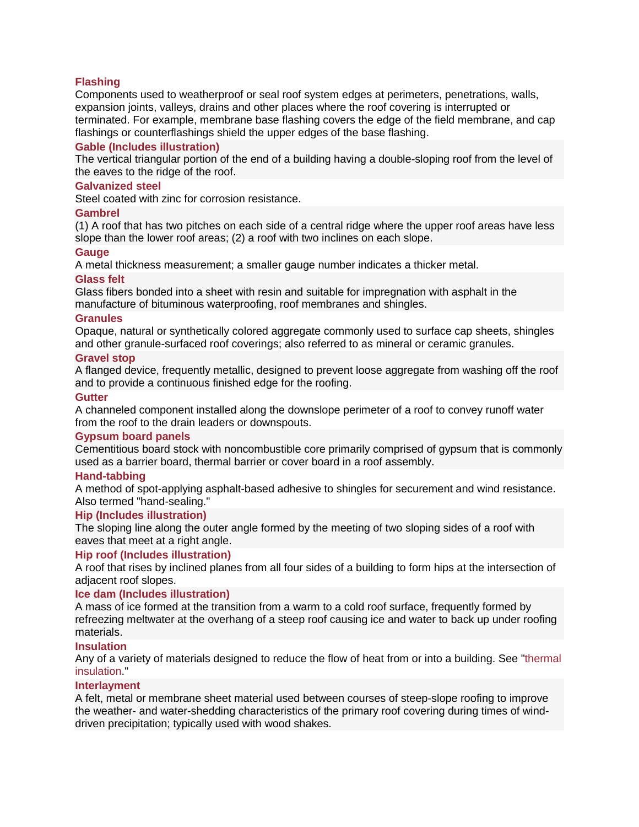# **[Flashing](http://www.everybodyneedsaroof.com/Glossary/Details/303/Flashing)**

Components used to weatherproof or seal roof system edges at perimeters, penetrations, walls, expansion joints, valleys, drains and other places where the roof covering is interrupted or terminated. For example, membrane base flashing covers the edge of the field membrane, and cap flashings or counterflashings shield the upper edges of the base flashing.

### **[Gable \(Includes illustration\)](http://www.everybodyneedsaroof.com/Glossary/Details/322/Gable-Includes-illustration)**

The vertical triangular portion of the end of a building having a double-sloping roof from the level of the eaves to the ridge of the roof.

#### **[Galvanized steel](http://www.everybodyneedsaroof.com/Glossary/Details/326/Galvanized-steel)**

Steel coated with zinc for corrosion resistance.

### **[Gambrel](http://www.everybodyneedsaroof.com/Glossary/Details/327/Gambrel)**

(1) A roof that has two pitches on each side of a central ridge where the upper roof areas have less slope than the lower roof areas; (2) a roof with two inclines on each slope.

# **[Gauge](http://www.everybodyneedsaroof.com/Glossary/Details/328/Gauge)**

A metal thickness measurement; a smaller gauge number indicates a thicker metal.

# **[Glass felt](http://www.everybodyneedsaroof.com/Glossary/Details/332/Glass-felt)**

Glass fibers bonded into a sheet with resin and suitable for impregnation with asphalt in the manufacture of bituminous waterproofing, roof membranes and shingles.

#### **[Granules](http://www.everybodyneedsaroof.com/Glossary/Details/341/Granules)**

Opaque, natural or synthetically colored aggregate commonly used to surface cap sheets, shingles and other granule-surfaced roof coverings; also referred to as mineral or ceramic granules.

# **[Gravel stop](http://www.everybodyneedsaroof.com/Glossary/Details/343/Gravel-stop)**

A flanged device, frequently metallic, designed to prevent loose aggregate from washing off the roof and to provide a continuous finished edge for the roofing.

# **[Gutter](http://www.everybodyneedsaroof.com/Glossary/Details/347/Gutter)**

A channeled component installed along the downslope perimeter of a roof to convey runoff water from the roof to the drain leaders or downspouts.

#### **[Gypsum board panels](http://www.everybodyneedsaroof.com/Glossary/Details/348/Gypsum-board-panels)**

Cementitious board stock with noncombustible core primarily comprised of gypsum that is commonly used as a barrier board, thermal barrier or cover board in a roof assembly.

#### **[Hand-tabbing](http://www.everybodyneedsaroof.com/Glossary/Details/350/Hand-tabbing)**

A method of spot-applying asphalt-based adhesive to shingles for securement and wind resistance. Also termed "hand-sealing."

#### **[Hip \(Includes illustration\)](http://www.everybodyneedsaroof.com/Glossary/Details/359/Hip-Includes-illustration)**

The sloping line along the outer angle formed by the meeting of two sloping sides of a roof with eaves that meet at a right angle.

#### **[Hip roof \(Includes illustration\)](http://www.everybodyneedsaroof.com/Glossary/Details/360/Hip-roof-Includes-illustration)**

A roof that rises by inclined planes from all four sides of a building to form hips at the intersection of adjacent roof slopes.

#### **[Ice dam \(Includes illustration\)](http://www.everybodyneedsaroof.com/Glossary/Details/371/Ice-dam-Includes-illustration)**

A mass of ice formed at the transition from a warm to a cold roof surface, frequently formed by refreezing meltwater at the overhang of a steep roof causing ice and water to back up under roofing materials.

#### **[Insulation](http://www.everybodyneedsaroof.com/Glossary/Details/377/Insulation)**

Any of a variety of materials designed to reduce the flow of heat from or into a building. See ["thermal](http://www.nrca.net/Technical/Search/GlossaryDetails/708)  [insulation.](http://www.nrca.net/Technical/Search/GlossaryDetails/708)"

### **[Interlayment](http://www.everybodyneedsaroof.com/Glossary/Details/378/Interlayment)**

A felt, metal or membrane sheet material used between courses of steep-slope roofing to improve the weather- and water-shedding characteristics of the primary roof covering during times of winddriven precipitation; typically used with wood shakes.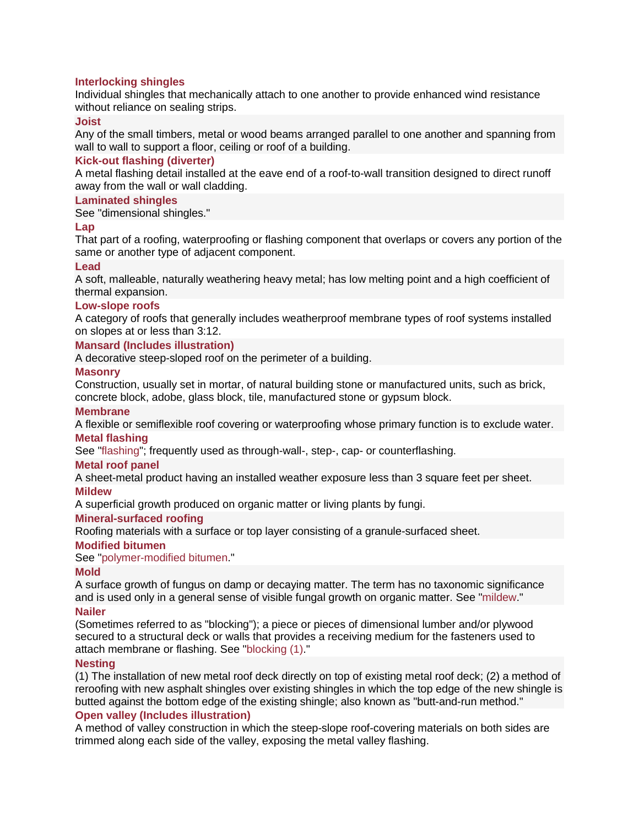# **[Interlocking shingles](http://www.everybodyneedsaroof.com/Glossary/Details/379/Interlocking-shingles)**

Individual shingles that mechanically attach to one another to provide enhanced wind resistance without reliance on sealing strips.

#### **[Joist](http://www.everybodyneedsaroof.com/Glossary/Details/384/Joist)**

Any of the small timbers, metal or wood beams arranged parallel to one another and spanning from wall to wall to support a floor, ceiling or roof of a building.

#### **[Kick-out flashing \(diverter\)](http://www.everybodyneedsaroof.com/Glossary/Details/388/Kick-out-flashing-diverter)**

A metal flashing detail installed at the eave end of a roof-to-wall transition designed to direct runoff away from the wall or wall cladding.

# **[Laminated shingles](http://www.everybodyneedsaroof.com/Glossary/Details/391/Laminated-shingles)**

See "dimensional shingles."

### **[Lap](http://www.everybodyneedsaroof.com/Glossary/Details/392/Lap)**

That part of a roofing, waterproofing or flashing component that overlaps or covers any portion of the same or another type of adjacent component.

#### **[Lead](http://www.everybodyneedsaroof.com/Glossary/Details/396/Lead)**

A soft, malleable, naturally weathering heavy metal; has low melting point and a high coefficient of thermal expansion.

#### **[Low-slope roofs](http://www.everybodyneedsaroof.com/Glossary/Details/408/Low-slope-roofs)**

A category of roofs that generally includes weatherproof membrane types of roof systems installed on slopes at or less than 3:12.

### **[Mansard \(Includes illustration\)](http://www.everybodyneedsaroof.com/Glossary/Details/410/Mansard-Includes-illustration)**

A decorative steep-sloped roof on the perimeter of a building.

#### **[Masonry](http://www.everybodyneedsaroof.com/Glossary/Details/412/Masonry)**

Construction, usually set in mortar, of natural building stone or manufactured units, such as brick, concrete block, adobe, glass block, tile, manufactured stone or gypsum block.

#### **[Membrane](http://www.everybodyneedsaroof.com/Glossary/Details/418/Membrane)**

A flexible or semiflexible roof covering or waterproofing whose primary function is to exclude water.

#### **[Metal flashing](http://www.everybodyneedsaroof.com/Glossary/Details/421/Metal-flashing)**

See ["flashing"](http://www.nrca.net/Technical/Search/GlossaryDetails/303); frequently used as through-wall-, step-, cap- or counterflashing.

#### **[Metal roof panel](http://www.everybodyneedsaroof.com/Glossary/Details/423/Metal-roof-panel)**

A sheet-metal product having an installed weather exposure less than 3 square feet per sheet.

#### **[Mildew](http://www.everybodyneedsaroof.com/Glossary/Details/428/Mildew)**

A superficial growth produced on organic matter or living plants by fungi.

#### **[Mineral-surfaced roofing](http://www.everybodyneedsaroof.com/Glossary/Details/431/Mineral-surfaced-roofing)**

Roofing materials with a surface or top layer consisting of a granule-surfaced sheet.

#### **[Modified bitumen](http://www.everybodyneedsaroof.com/Glossary/Details/432/Modified-bitumen)**

See ["polymer-modified bitumen.](http://www.nrca.net/Technical/Search/GlossaryDetails/507)"

#### **[Mold](http://www.everybodyneedsaroof.com/Glossary/Details/433/Mold)**

A surface growth of fungus on damp or decaying matter. The term has no taxonomic significance and is used only in a general sense of visible fungal growth on organic matter. See ["mildew.](http://www.nrca.net/Technical/Search/GlossaryDetails/428)"

#### **[Nailer](http://www.everybodyneedsaroof.com/Glossary/Details/439/Nailer)**

(Sometimes referred to as "blocking"); a piece or pieces of dimensional lumber and/or plywood secured to a structural deck or walls that provides a receiving medium for the fasteners used to attach membrane or flashing. See ["blocking \(1\).](http://www.nrca.net/Technical/Search/GlossaryDetails/87)"

#### **[Nesting](http://www.everybodyneedsaroof.com/Glossary/Details/444/Nesting)**

(1) The installation of new metal roof deck directly on top of existing metal roof deck; (2) a method of reroofing with new asphalt shingles over existing shingles in which the top edge of the new shingle is butted against the bottom edge of the existing shingle; also known as "butt-and-run method."

#### **[Open valley \(Includes illustration\)](http://www.everybodyneedsaroof.com/Glossary/Details/459/Open-valley-Includes-illustration)**

A method of valley construction in which the steep-slope roof-covering materials on both sides are trimmed along each side of the valley, exposing the metal valley flashing.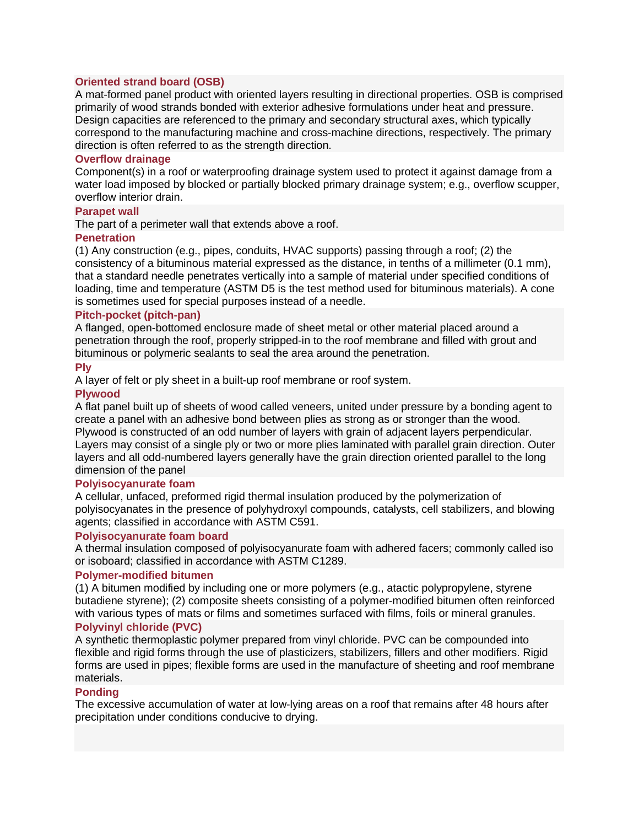# **[Oriented strand board \(OSB\)](http://www.everybodyneedsaroof.com/Glossary/Details/463/Oriented-strand-board-OSB)**

A mat-formed panel product with oriented layers resulting in directional properties. OSB is comprised primarily of wood strands bonded with exterior adhesive formulations under heat and pressure. Design capacities are referenced to the primary and secondary structural axes, which typically correspond to the manufacturing machine and cross-machine directions, respectively. The primary direction is often referred to as the strength direction.

### **[Overflow drainage](http://www.everybodyneedsaroof.com/Glossary/Details/467/Overflow-drainage)**

Component(s) in a roof or waterproofing drainage system used to protect it against damage from a water load imposed by blocked or partially blocked primary drainage system; e.g., overflow scupper, overflow interior drain.

# **[Parapet wall](http://www.everybodyneedsaroof.com/Glossary/Details/474/Parapet-wall)**

The part of a perimeter wall that extends above a roof.

# **[Penetration](http://www.everybodyneedsaroof.com/Glossary/Details/481/Penetration)**

(1) Any construction (e.g., pipes, conduits, HVAC supports) passing through a roof; (2) the consistency of a bituminous material expressed as the distance, in tenths of a millimeter (0.1 mm), that a standard needle penetrates vertically into a sample of material under specified conditions of loading, time and temperature (ASTM D5 is the test method used for bituminous materials). A cone is sometimes used for special purposes instead of a needle.

# **[Pitch-pocket \(pitch-pan\)](http://www.everybodyneedsaroof.com/Glossary/Details/493/Pitch-pocket-pitch-pan)**

A flanged, open-bottomed enclosure made of sheet metal or other material placed around a penetration through the roof, properly stripped-in to the roof membrane and filled with grout and bituminous or polymeric sealants to seal the area around the penetration.

#### **[Ply](http://www.everybodyneedsaroof.com/Glossary/Details/499/Ply)**

A layer of felt or ply sheet in a built-up roof membrane or roof system.

#### **[Plywood](http://www.everybodyneedsaroof.com/Glossary/Details/500/Plywood)**

A flat panel built up of sheets of wood called veneers, united under pressure by a bonding agent to create a panel with an adhesive bond between plies as strong as or stronger than the wood. Plywood is constructed of an odd number of layers with grain of adjacent layers perpendicular. Layers may consist of a single ply or two or more plies laminated with parallel grain direction. Outer layers and all odd-numbered layers generally have the grain direction oriented parallel to the long dimension of the panel

#### **[Polyisocyanurate foam](http://www.everybodyneedsaroof.com/Glossary/Details/504/Polyisocyanurate-foam)**

A cellular, unfaced, preformed rigid thermal insulation produced by the polymerization of polyisocyanates in the presence of polyhydroxyl compounds, catalysts, cell stabilizers, and blowing agents; classified in accordance with ASTM C591.

#### **[Polyisocyanurate foam board](http://www.everybodyneedsaroof.com/Glossary/Details/505/Polyisocyanurate-foam-board)**

A thermal insulation composed of polyisocyanurate foam with adhered facers; commonly called iso or isoboard; classified in accordance with ASTM C1289.

#### **[Polymer-modified bitumen](http://www.everybodyneedsaroof.com/Glossary/Details/507/Polymer-modified-bitumen)**

(1) A bitumen modified by including one or more polymers (e.g., atactic polypropylene, styrene butadiene styrene); (2) composite sheets consisting of a polymer-modified bitumen often reinforced with various types of mats or films and sometimes surfaced with films, foils or mineral granules.

# **[Polyvinyl chloride \(PVC\)](http://www.everybodyneedsaroof.com/Glossary/Details/515/Polyvinyl-chloride-PVC)**

A synthetic thermoplastic polymer prepared from vinyl chloride. PVC can be compounded into flexible and rigid forms through the use of plasticizers, stabilizers, fillers and other modifiers. Rigid forms are used in pipes; flexible forms are used in the manufacture of sheeting and roof membrane materials.

# **[Ponding](http://www.everybodyneedsaroof.com/Glossary/Details/518/Ponding)**

The excessive accumulation of water at low-lying areas on a roof that remains after 48 hours after precipitation under conditions conducive to drying.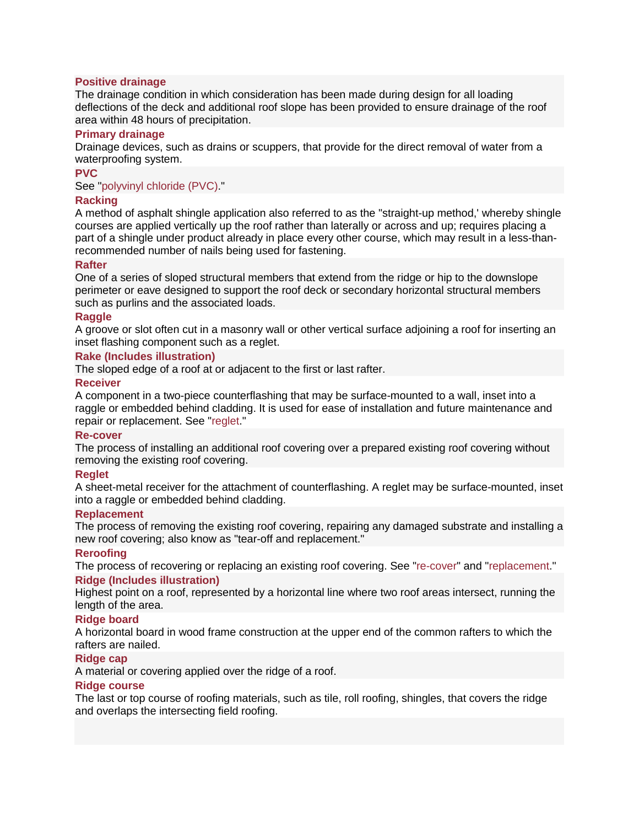### **[Positive drainage](http://www.everybodyneedsaroof.com/Glossary/Details/521/Positive-drainage)**

The drainage condition in which consideration has been made during design for all loading deflections of the deck and additional roof slope has been provided to ensure drainage of the roof area within 48 hours of precipitation.

#### **[Primary drainage](http://www.everybodyneedsaroof.com/Glossary/Details/528/Primary-drainage)**

Drainage devices, such as drains or scuppers, that provide for the direct removal of water from a waterproofing system.

# **[PVC](http://www.everybodyneedsaroof.com/Glossary/Details/537/PVC)**

See ["polyvinyl chloride \(PVC\).](http://www.nrca.net/Technical/Search/GlossaryDetails/515)"

### **[Racking](http://www.everybodyneedsaroof.com/Glossary/Details/540/Racking)**

A method of asphalt shingle application also referred to as the "straight-up method,' whereby shingle courses are applied vertically up the roof rather than laterally or across and up; requires placing a part of a shingle under product already in place every other course, which may result in a less-thanrecommended number of nails being used for fastening.

# **[Rafter](http://www.everybodyneedsaroof.com/Glossary/Details/541/Rafter)**

One of a series of sloped structural members that extend from the ridge or hip to the downslope perimeter or eave designed to support the roof deck or secondary horizontal structural members such as purlins and the associated loads.

#### **[Raggle](http://www.everybodyneedsaroof.com/Glossary/Details/542/Raggle)**

A groove or slot often cut in a masonry wall or other vertical surface adjoining a roof for inserting an inset flashing component such as a reglet.

# **[Rake \(Includes illustration\)](http://www.everybodyneedsaroof.com/Glossary/Details/543/Rake-Includes-illustration)**

The sloped edge of a roof at or adjacent to the first or last rafter.

#### **[Receiver](http://www.everybodyneedsaroof.com/Glossary/Details/546/Receiver)**

A component in a two-piece counterflashing that may be surface-mounted to a wall, inset into a raggle or embedded behind cladding. It is used for ease of installation and future maintenance and repair or replacement. See ["reglet.](http://www.nrca.net/Technical/Search/GlossaryDetails/550)"

#### **[Re-cover](http://www.everybodyneedsaroof.com/Glossary/Details/547/Re-cover)**

The process of installing an additional roof covering over a prepared existing roof covering without removing the existing roof covering.

#### **[Reglet](http://www.everybodyneedsaroof.com/Glossary/Details/550/Reglet)**

A sheet-metal receiver for the attachment of counterflashing. A reglet may be surface-mounted, inset into a raggle or embedded behind cladding.

#### **[Replacement](http://www.everybodyneedsaroof.com/Glossary/Details/553/Replacement)**

The process of removing the existing roof covering, repairing any damaged substrate and installing a new roof covering; also know as "tear-off and replacement."

# **[Reroofing](http://www.everybodyneedsaroof.com/Glossary/Details/554/Reroofing)**

The process of recovering or replacing an existing roof covering. See ["re-cover"](http://www.nrca.net/Technical/Search/GlossaryDetails/547) and ["replacement.](http://www.nrca.net/Technical/Search/GlossaryDetails/553)" **[Ridge \(Includes illustration\)](http://www.everybodyneedsaroof.com/Glossary/Details/557/Ridge-Includes-illustration)**

Highest point on a roof, represented by a horizontal line where two roof areas intersect, running the length of the area.

# **[Ridge board](http://www.everybodyneedsaroof.com/Glossary/Details/558/Ridge-board)**

A horizontal board in wood frame construction at the upper end of the common rafters to which the rafters are nailed.

# **[Ridge cap](http://www.everybodyneedsaroof.com/Glossary/Details/559/Ridge-cap)**

A material or covering applied over the ridge of a roof.

#### **[Ridge course](http://www.everybodyneedsaroof.com/Glossary/Details/560/Ridge-course)**

The last or top course of roofing materials, such as tile, roll roofing, shingles, that covers the ridge and overlaps the intersecting field roofing.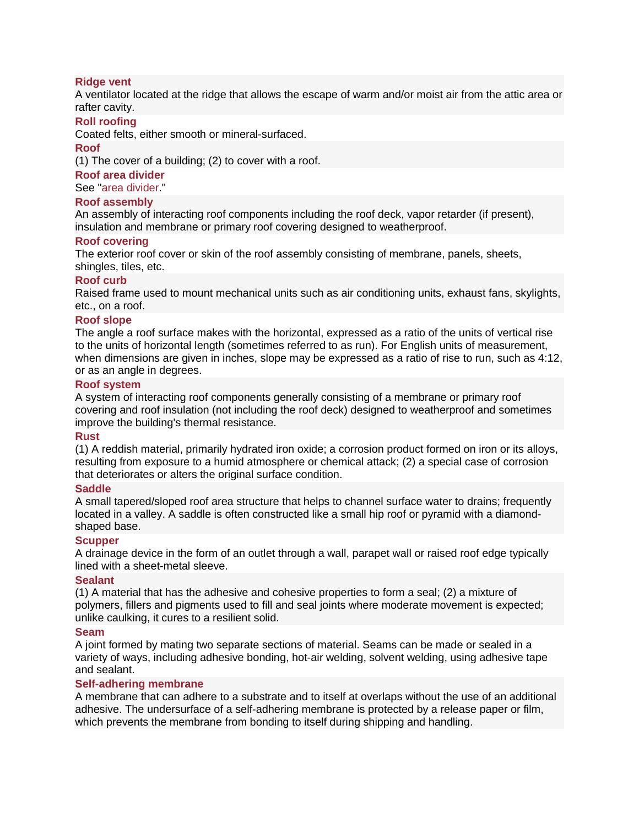# **[Ridge vent](http://www.everybodyneedsaroof.com/Glossary/Details/561/Ridge-vent)**

A ventilator located at the ridge that allows the escape of warm and/or moist air from the attic area or rafter cavity.

# **[Roll roofing](http://www.everybodyneedsaroof.com/Glossary/Details/564/Roll-roofing)**

Coated felts, either smooth or mineral-surfaced.

#### **[Roof](http://www.everybodyneedsaroof.com/Glossary/Details/565/Roof)**

(1) The cover of a building; (2) to cover with a roof.

#### **[Roof area divider](http://www.everybodyneedsaroof.com/Glossary/Details/566/Roof-area-divider)**

See ["area divider.](http://www.nrca.net/Technical/Search/GlossaryDetails/44)"

# **[Roof assembly](http://www.everybodyneedsaroof.com/Glossary/Details/567/Roof-assembly)**

An assembly of interacting roof components including the roof deck, vapor retarder (if present), insulation and membrane or primary roof covering designed to weatherproof.

# **[Roof covering](http://www.everybodyneedsaroof.com/Glossary/Details/569/Roof-covering)**

The exterior roof cover or skin of the roof assembly consisting of membrane, panels, sheets, shingles, tiles, etc.

# **[Roof curb](http://www.everybodyneedsaroof.com/Glossary/Details/570/Roof-curb)**

Raised frame used to mount mechanical units such as air conditioning units, exhaust fans, skylights, etc., on a roof.

# **[Roof slope](http://www.everybodyneedsaroof.com/Glossary/Details/571/Roof-slope)**

The angle a roof surface makes with the horizontal, expressed as a ratio of the units of vertical rise to the units of horizontal length (sometimes referred to as run). For English units of measurement, when dimensions are given in inches, slope may be expressed as a ratio of rise to run, such as 4:12, or as an angle in degrees.

# **[Roof system](http://www.everybodyneedsaroof.com/Glossary/Details/572/Roof-system)**

A system of interacting roof components generally consisting of a membrane or primary roof covering and roof insulation (not including the roof deck) designed to weatherproof and sometimes improve the building's thermal resistance.

#### **[Rust](http://www.everybodyneedsaroof.com/Glossary/Details/576/Rust)**

(1) A reddish material, primarily hydrated iron oxide; a corrosion product formed on iron or its alloys, resulting from exposure to a humid atmosphere or chemical attack; (2) a special case of corrosion that deteriorates or alters the original surface condition.

#### **[Saddle](http://www.everybodyneedsaroof.com/Glossary/Details/578/Saddle)**

A small tapered/sloped roof area structure that helps to channel surface water to drains; frequently located in a valley. A saddle is often constructed like a small hip roof or pyramid with a diamondshaped base.

# **[Scupper](http://www.everybodyneedsaroof.com/Glossary/Details/585/Scupper)**

A drainage device in the form of an outlet through a wall, parapet wall or raised roof edge typically lined with a sheet-metal sleeve.

#### **[Sealant](http://www.everybodyneedsaroof.com/Glossary/Details/588/Sealant)**

(1) A material that has the adhesive and cohesive properties to form a seal; (2) a mixture of polymers, fillers and pigments used to fill and seal joints where moderate movement is expected; unlike caulking, it cures to a resilient solid.

#### **[Seam](http://www.everybodyneedsaroof.com/Glossary/Details/591/Seam)**

A joint formed by mating two separate sections of material. Seams can be made or sealed in a variety of ways, including adhesive bonding, hot-air welding, solvent welding, using adhesive tape and sealant.

### **[Self-adhering membrane](http://www.everybodyneedsaroof.com/Glossary/Details/593/Self-adhering-membrane)**

A membrane that can adhere to a substrate and to itself at overlaps without the use of an additional adhesive. The undersurface of a self-adhering membrane is protected by a release paper or film, which prevents the membrane from bonding to itself during shipping and handling.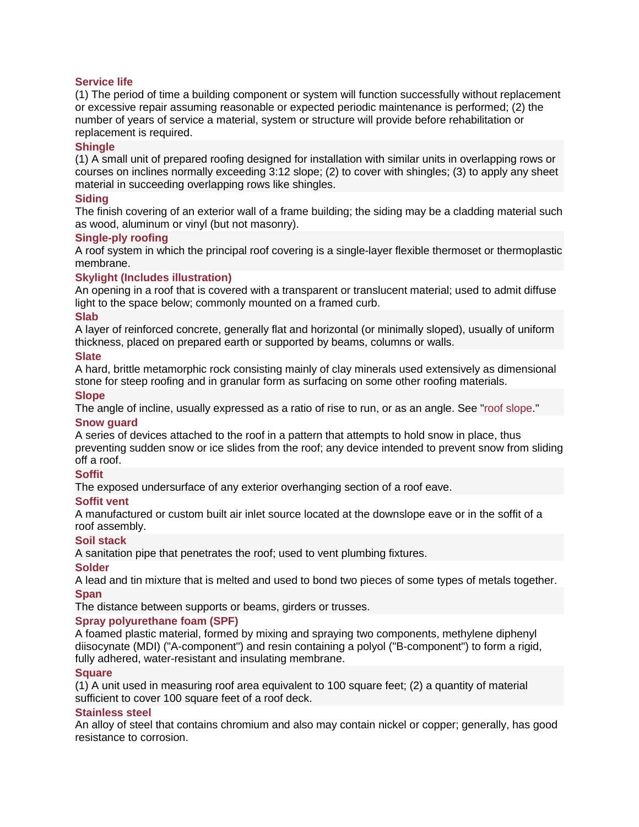# **[Service life](http://www.everybodyneedsaroof.com/Glossary/Details/602/Service-life)**

(1) The period of time a building component or system will function successfully without replacement or excessive repair assuming reasonable or expected periodic maintenance is performed; (2) the number of years of service a material, system or structure will provide before rehabilitation or replacement is required.

### **[Shingle](http://www.everybodyneedsaroof.com/Glossary/Details/606/Shingle)**

(1) A small unit of prepared roofing designed for installation with similar units in overlapping rows or courses on inclines normally exceeding 3:12 slope; (2) to cover with shingles; (3) to apply any sheet material in succeeding overlapping rows like shingles.

# **[Siding](http://www.everybodyneedsaroof.com/Glossary/Details/611/Siding)**

The finish covering of an exterior wall of a frame building; the siding may be a cladding material such as wood, aluminum or vinyl (but not masonry).

# **[Single-ply roofing](http://www.everybodyneedsaroof.com/Glossary/Details/616/Single-ply-roofing)**

A roof system in which the principal roof covering is a single-layer flexible thermoset or thermoplastic membrane.

# **[Skylight \(Includes illustration\)](http://www.everybodyneedsaroof.com/Glossary/Details/621/Skylight-Includes-illustration)**

An opening in a roof that is covered with a transparent or translucent material; used to admit diffuse light to the space below; commonly mounted on a framed curb.

#### **[Slab](http://www.everybodyneedsaroof.com/Glossary/Details/622/Slab)**

A layer of reinforced concrete, generally flat and horizontal (or minimally sloped), usually of uniform thickness, placed on prepared earth or supported by beams, columns or walls.

# **[Slate](http://www.everybodyneedsaroof.com/Glossary/Details/626/Slate)**

A hard, brittle metamorphic rock consisting mainly of clay minerals used extensively as dimensional stone for steep roofing and in granular form as surfacing on some other roofing materials.

#### **[Slope](http://www.everybodyneedsaroof.com/Glossary/Details/630/Slope)**

The angle of incline, usually expressed as a ratio of rise to run, or as an angle. See ["roof slope.](http://www.nrca.net/Technical/Search/GlossaryDetails/571)"

#### **[Snow guard](http://www.everybodyneedsaroof.com/Glossary/Details/635/Snow-guard)**

A series of devices attached to the roof in a pattern that attempts to hold snow in place, thus preventing sudden snow or ice slides from the roof; any device intended to prevent snow from sliding off a roof.

#### **[Soffit](http://www.everybodyneedsaroof.com/Glossary/Details/637/Soffit)**

The exposed undersurface of any exterior overhanging section of a roof eave.

#### **[Soffit vent](http://www.everybodyneedsaroof.com/Glossary/Details/638/Soffit-vent)**

A manufactured or custom built air inlet source located at the downslope eave or in the soffit of a roof assembly.

#### **[Soil stack](http://www.everybodyneedsaroof.com/Glossary/Details/640/Soil-stack)**

A sanitation pipe that penetrates the roof; used to vent plumbing fixtures.

#### **[Solder](http://www.everybodyneedsaroof.com/Glossary/Details/641/Solder)**

A lead and tin mixture that is melted and used to bond two pieces of some types of metals together. **[Span](http://www.everybodyneedsaroof.com/Glossary/Details/647/Span)**

The distance between supports or beams, girders or trusses.

# **[Spray polyurethane foam \(SPF\)](http://www.everybodyneedsaroof.com/Glossary/Details/660/Spray-polyurethane-foam-SPF)**

A foamed plastic material, formed by mixing and spraying two components, methylene diphenyl diisocynate (MDI) ("A-component") and resin containing a polyol ("B-component") to form a rigid, fully adhered, water-resistant and insulating membrane.

### **[Square](http://www.everybodyneedsaroof.com/Glossary/Details/663/Square)**

(1) A unit used in measuring roof area equivalent to 100 square feet; (2) a quantity of material sufficient to cover 100 square feet of a roof deck.

#### **[Stainless steel](http://www.everybodyneedsaroof.com/Glossary/Details/666/Stainless-steel)**

An alloy of steel that contains chromium and also may contain nickel or copper; generally, has good resistance to corrosion.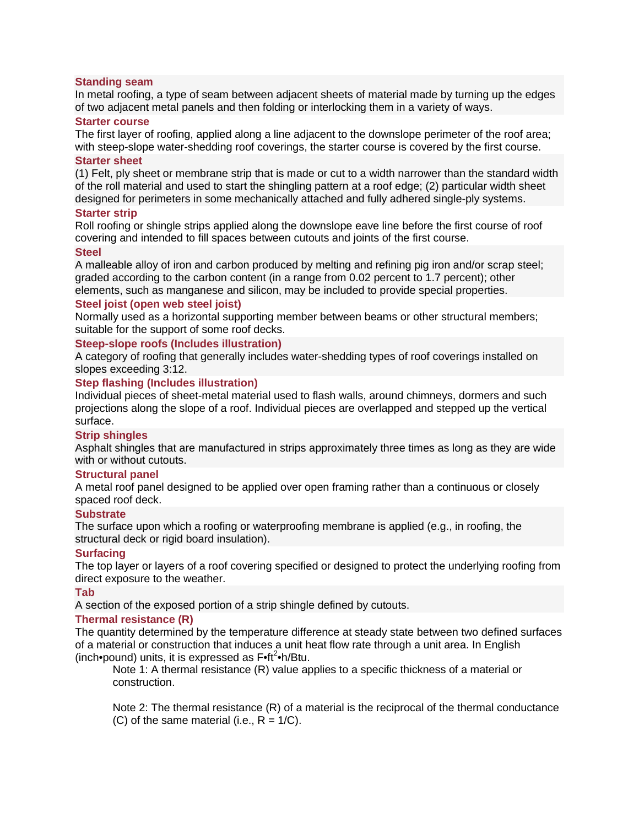# **[Standing seam](http://www.everybodyneedsaroof.com/Glossary/Details/667/Standing-seam)**

In metal roofing, a type of seam between adjacent sheets of material made by turning up the edges of two adjacent metal panels and then folding or interlocking them in a variety of ways.

#### **[Starter course](http://www.everybodyneedsaroof.com/Glossary/Details/668/Starter-course)**

The first layer of roofing, applied along a line adjacent to the downslope perimeter of the roof area; with steep-slope water-shedding roof coverings, the starter course is covered by the first course.

# **[Starter sheet](http://www.everybodyneedsaroof.com/Glossary/Details/669/Starter-sheet)**

(1) Felt, ply sheet or membrane strip that is made or cut to a width narrower than the standard width of the roll material and used to start the shingling pattern at a roof edge; (2) particular width sheet designed for perimeters in some mechanically attached and fully adhered single-ply systems.

# **[Starter strip](http://www.everybodyneedsaroof.com/Glossary/Details/670/Starter-strip)**

Roll roofing or shingle strips applied along the downslope eave line before the first course of roof covering and intended to fill spaces between cutouts and joints of the first course.

# **[Steel](http://www.everybodyneedsaroof.com/Glossary/Details/671/Steel)**

A malleable alloy of iron and carbon produced by melting and refining pig iron and/or scrap steel; graded according to the carbon content (in a range from 0.02 percent to 1.7 percent); other elements, such as manganese and silicon, may be included to provide special properties.

# **[Steel joist \(open web steel joist\)](http://www.everybodyneedsaroof.com/Glossary/Details/672/Steel-joist-open-web-steel-joist)**

Normally used as a horizontal supporting member between beams or other structural members; suitable for the support of some roof decks.

# **[Steep-slope roofs \(Includes illustration\)](http://www.everybodyneedsaroof.com/Glossary/Details/674/Steep-slope-roofs-Includes-illustration)**

A category of roofing that generally includes water-shedding types of roof coverings installed on slopes exceeding 3:12.

# **[Step flashing \(Includes illustration\)](http://www.everybodyneedsaroof.com/Glossary/Details/675/Step-flashing-Includes-illustration)**

Individual pieces of sheet-metal material used to flash walls, around chimneys, dormers and such projections along the slope of a roof. Individual pieces are overlapped and stepped up the vertical surface.

#### **[Strip shingles](http://www.everybodyneedsaroof.com/Glossary/Details/679/Strip-shingles)**

Asphalt shingles that are manufactured in strips approximately three times as long as they are wide with or without cutouts.

#### **[Structural panel](http://www.everybodyneedsaroof.com/Glossary/Details/681/Structural-panel)**

A metal roof panel designed to be applied over open framing rather than a continuous or closely spaced roof deck.

#### **[Substrate](http://www.everybodyneedsaroof.com/Glossary/Details/683/Substrate)**

The surface upon which a roofing or waterproofing membrane is applied (e.g., in roofing, the structural deck or rigid board insulation).

# **[Surfacing](http://www.everybodyneedsaroof.com/Glossary/Details/687/Surfacing)**

The top layer or layers of a roof covering specified or designed to protect the underlying roofing from direct exposure to the weather.

#### **[Tab](http://www.everybodyneedsaroof.com/Glossary/Details/689/Tab)**

A section of the exposed portion of a strip shingle defined by cutouts.

# **[Thermal resistance \(R\)](http://www.everybodyneedsaroof.com/Glossary/Details/710/Thermal-resistance-R)**

The quantity determined by the temperature difference at steady state between two defined surfaces of a material or construction that induces a unit heat flow rate through a unit area. In English (inch•pound) units, it is expressed as F•ft<sup>2</sup>•h/Btu.

Note 1: A thermal resistance (R) value applies to a specific thickness of a material or construction.

Note 2: The thermal resistance (R) of a material is the reciprocal of the thermal conductance  $(C)$  of the same material (i.e.,  $R = 1/C$ ).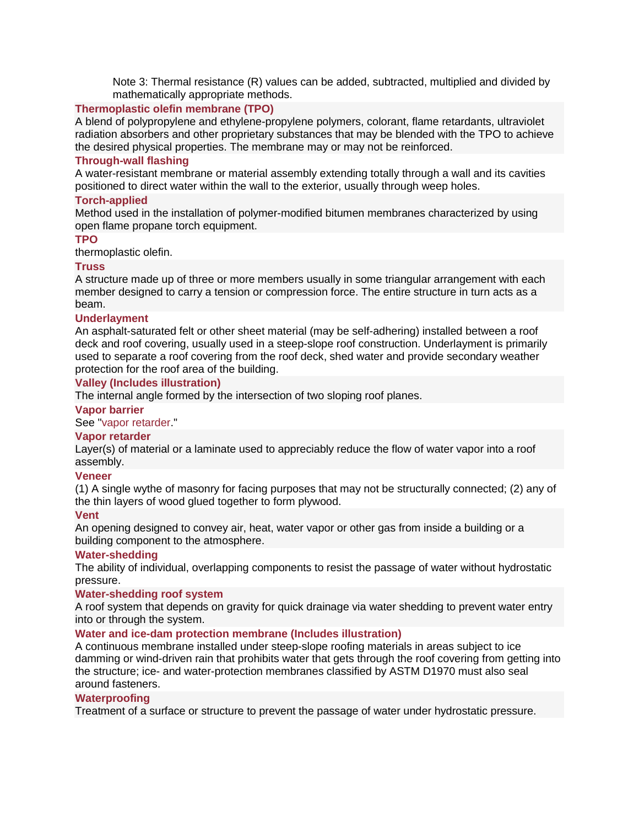Note 3: Thermal resistance (R) values can be added, subtracted, multiplied and divided by mathematically appropriate methods.

# **[Thermoplastic olefin membrane \(TPO\)](http://www.everybodyneedsaroof.com/Glossary/Details/716/Thermoplastic-olefin-membrane-TPO)**

A blend of polypropylene and ethylene-propylene polymers, colorant, flame retardants, ultraviolet radiation absorbers and other proprietary substances that may be blended with the TPO to achieve the desired physical properties. The membrane may or may not be reinforced.

# **[Through-wall flashing](http://www.everybodyneedsaroof.com/Glossary/Details/719/Through-wall-flashing)**

A water-resistant membrane or material assembly extending totally through a wall and its cavities positioned to direct water within the wall to the exterior, usually through weep holes.

# **[Torch-applied](http://www.everybodyneedsaroof.com/Glossary/Details/726/Torch-applied)**

Method used in the installation of polymer-modified bitumen membranes characterized by using open flame propane torch equipment.

# **[TPO](http://www.everybodyneedsaroof.com/Glossary/Details/727/TPO)**

thermoplastic olefin.

# **[Truss](http://www.everybodyneedsaroof.com/Glossary/Details/731/Truss)**

A structure made up of three or more members usually in some triangular arrangement with each member designed to carry a tension or compression force. The entire structure in turn acts as a beam.

#### **[Underlayment](http://www.everybodyneedsaroof.com/Glossary/Details/737/Underlayment)**

An asphalt-saturated felt or other sheet material (may be self-adhering) installed between a roof deck and roof covering, usually used in a steep-slope roof construction. Underlayment is primarily used to separate a roof covering from the roof deck, shed water and provide secondary weather protection for the roof area of the building.

# **[Valley \(Includes illustration\)](http://www.everybodyneedsaroof.com/Glossary/Details/743/Valley-Includes-illustration)**

The internal angle formed by the intersection of two sloping roof planes.

### **[Vapor barrier](http://www.everybodyneedsaroof.com/Glossary/Details/744/Vapor-barrier)**

See ["vapor retarder.](http://www.nrca.net/Technical/Search/GlossaryDetails/747)"

#### **[Vapor retarder](http://www.everybodyneedsaroof.com/Glossary/Details/747/Vapor-retarder)**

Layer(s) of material or a laminate used to appreciably reduce the flow of water vapor into a roof assembly.

# **[Veneer](http://www.everybodyneedsaroof.com/Glossary/Details/748/Veneer)**

(1) A single wythe of masonry for facing purposes that may not be structurally connected; (2) any of the thin layers of wood glued together to form plywood.

#### **[Vent](http://www.everybodyneedsaroof.com/Glossary/Details/749/Vent)**

An opening designed to convey air, heat, water vapor or other gas from inside a building or a building component to the atmosphere.

#### **[Water-shedding](http://www.everybodyneedsaroof.com/Glossary/Details/760/Water-shedding)**

The ability of individual, overlapping components to resist the passage of water without hydrostatic pressure.

#### **[Water-shedding roof system](http://www.everybodyneedsaroof.com/Glossary/Details/761/Water-shedding-roof-system)**

A roof system that depends on gravity for quick drainage via water shedding to prevent water entry into or through the system.

#### **[Water and ice-dam protection membrane \(Includes illustration\)](http://www.everybodyneedsaroof.com/Glossary/Details/762/Water-and-ice-dam-protection-membrane-Includes-illustration)**

A continuous membrane installed under steep-slope roofing materials in areas subject to ice damming or wind-driven rain that prohibits water that gets through the roof covering from getting into the structure; ice- and water-protection membranes classified by ASTM D1970 must also seal around fasteners.

### **[Waterproofing](http://www.everybodyneedsaroof.com/Glossary/Details/768/Waterproofing)**

Treatment of a surface or structure to prevent the passage of water under hydrostatic pressure.